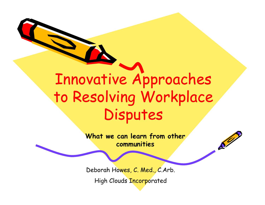## Innovative Approaches to Resolving Workplace Disputes

**What we can learn from other communities**

 $\mathcal{L}^2$ 

Deborah Howes, C. Med., C.Arb.

High Clouds Incorporated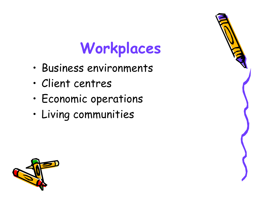# **Workplaces**

- •Business environments
- •Client centres
- •Economic operations
- •Living communities



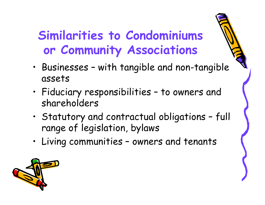#### **Similarities to Condominiums or Community Associations**

- • Businesses – with tangible and non-tangible assets
- • Fiduciary responsibilities – to owners and shareholders
- • Statutory and contractual obligations – full range of legislation, bylaws
- •Living communities – owners and tenants

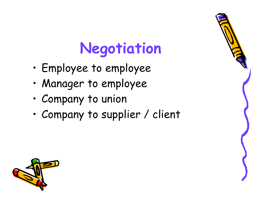## **Negotiation**

- •Employee to employee
- •Manager to employee
- •Company to union
- •Company to supplier / client



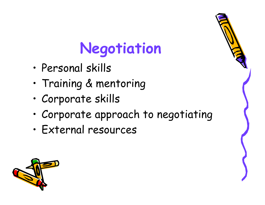# **Negotiation**

- •Personal skills
- •Training & mentoring
- •Corporate skills
- •Corporate approach to negotiating
- •External resources



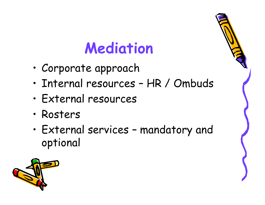## **Mediation**

- •Corporate approach
- •Internal resources – HR / Ombuds
- •External resources
- •Rosters
- • External services – mandatory and optional



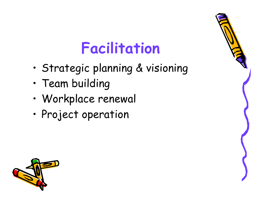#### **Facilitation**

- •Strategic planning & visioning
- •Team building
- •Workplace renewal
- •Project operation



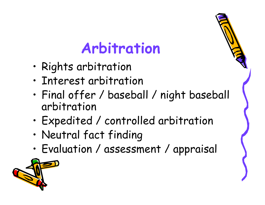#### **Arbitration**

- •Rights arbitration
- •Interest arbitration
- • Final offer / baseball / night baseball arbitration
- •Expedited / controlled arbitration
- •Neutral fact finding
- •Evaluation / assessment / appraisal

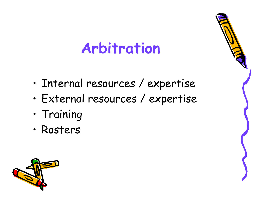### **Arbitration**

- •Internal resources / expertise
- •External resources / expertise
- •Training
- •Rosters



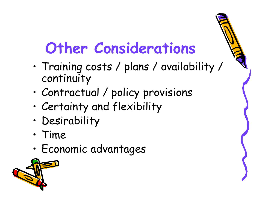## **Other Considerations**

- • Training costs / plans / availability / continuity
- •Contractual / policy provisions
- •Certainty and flexibility
- •Desirability
- •Time
- •Economic advantages